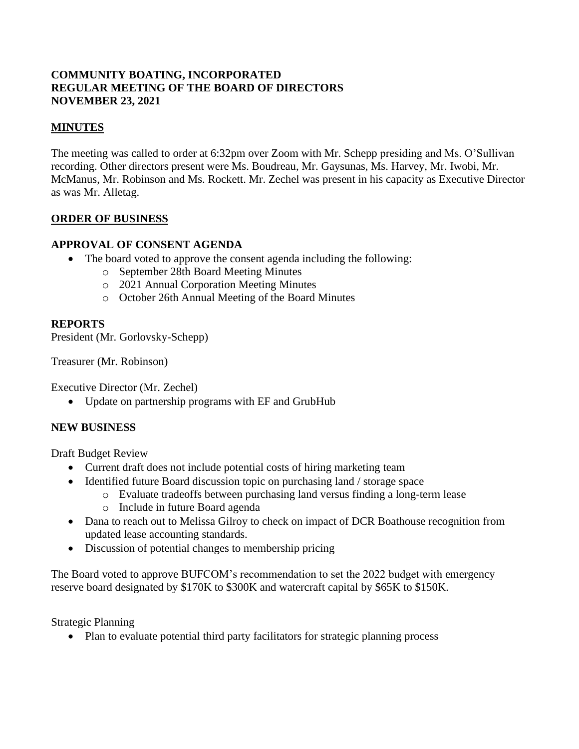## **COMMUNITY BOATING, INCORPORATED REGULAR MEETING OF THE BOARD OF DIRECTORS NOVEMBER 23, 2021**

## **MINUTES**

The meeting was called to order at 6:32pm over Zoom with Mr. Schepp presiding and Ms. O'Sullivan recording. Other directors present were Ms. Boudreau, Mr. Gaysunas, Ms. Harvey, Mr. Iwobi, Mr. McManus, Mr. Robinson and Ms. Rockett. Mr. Zechel was present in his capacity as Executive Director as was Mr. Alletag.

### **ORDER OF BUSINESS**

## **APPROVAL OF CONSENT AGENDA**

- The board voted to approve the consent agenda including the following:
	- o September 28th Board Meeting Minutes
	- o 2021 Annual Corporation Meeting Minutes
	- o October 26th Annual Meeting of the Board Minutes

#### **REPORTS**

President (Mr. Gorlovsky-Schepp)

Treasurer (Mr. Robinson)

Executive Director (Mr. Zechel)

• Update on partnership programs with EF and GrubHub

#### **NEW BUSINESS**

Draft Budget Review

- Current draft does not include potential costs of hiring marketing team
- Identified future Board discussion topic on purchasing land / storage space
	- o Evaluate tradeoffs between purchasing land versus finding a long-term lease
	- o Include in future Board agenda
- Dana to reach out to Melissa Gilroy to check on impact of DCR Boathouse recognition from updated lease accounting standards.
- Discussion of potential changes to membership pricing

The Board voted to approve BUFCOM's recommendation to set the 2022 budget with emergency reserve board designated by \$170K to \$300K and watercraft capital by \$65K to \$150K.

Strategic Planning

• Plan to evaluate potential third party facilitators for strategic planning process